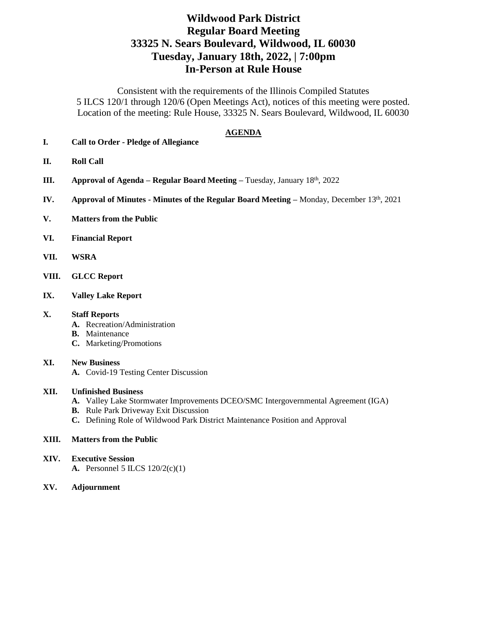# **Wildwood Park District Regular Board Meeting 33325 N. Sears Boulevard, Wildwood, IL 60030 Tuesday, January 18th, 2022, | 7:00pm In-Person at Rule House**

Consistent with the requirements of the Illinois Compiled Statutes 5 ILCS 120/1 through 120/6 (Open Meetings Act), notices of this meeting were posted. Location of the meeting: Rule House, 33325 N. Sears Boulevard, Wildwood, IL 60030

### **AGENDA**

- **I. Call to Order - Pledge of Allegiance**
- **II. Roll Call**
- **III. Approval of Agenda – Regular Board Meeting –** Tuesday, January 18th, 2022
- **IV. Approval of Minutes Minutes of the Regular Board Meeting Monday, December 13th, 2021**
- **V. Matters from the Public**
- **VI. Financial Report**
- **VII. WSRA**
- **VIII. GLCC Report**
- **IX. Valley Lake Report**

### **X. Staff Reports**

- **A.** Recreation/Administration
- **B.** Maintenance
- **C.** Marketing/Promotions

#### **XI. New Business**

**A.** Covid-19 Testing Center Discussion

#### **XII. Unfinished Business**

- **A.** Valley Lake Stormwater Improvements DCEO/SMC Intergovernmental Agreement (IGA)
- **B.** Rule Park Driveway Exit Discussion
- **C.** Defining Role of Wildwood Park District Maintenance Position and Approval

### **XIII. Matters from the Public**

- **XIV. Executive Session A.** Personnel 5 ILCS 120/2(c)(1)
- **XV. Adjournment**